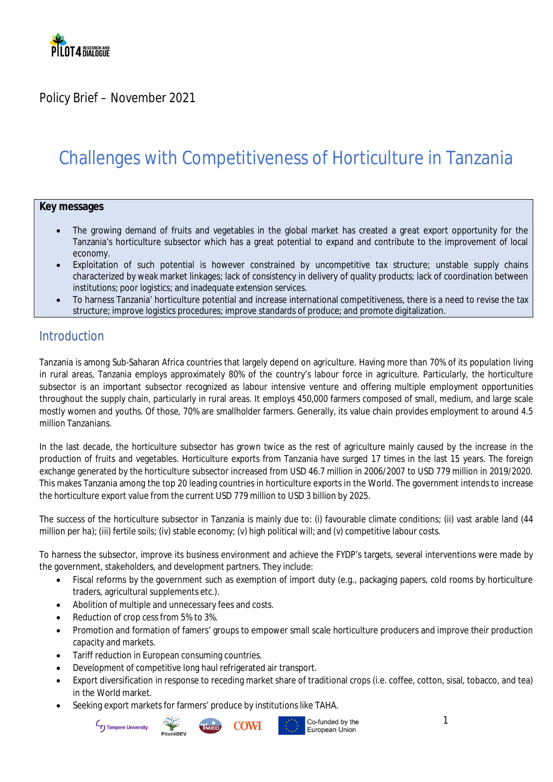

Policy Brief – November 2021

## Challenges with Competitiveness of Horticulture in Tanzania

#### **Key messages**

- The growing demand of fruits and vegetables in the global market has created a great export opportunity for the Tanzania's horticulture subsector which has a great potential to expand and contribute to the improvement of local economy.
- Exploitation of such potential is however constrained by uncompetitive tax structure; unstable supply chains characterized by weak market linkages; lack of consistency in delivery of quality products; lack of coordination between institutions; poor logistics; and inadequate extension services.
- To harness Tanzania' horticulture potential and increase international competitiveness, there is a need to revise the tax structure; improve logistics procedures; improve standards of produce; and promote digitalization.

#### **Introduction**

Tanzania is among Sub-Saharan Africa countries that largely depend on agriculture. Having more than 70% of its population living in rural areas, Tanzania employs approximately 80% of the country's labour force in agriculture. Particularly, the horticulture subsector is an important subsector recognized as labour intensive venture and offering multiple employment opportunities throughout the supply chain, particularly in rural areas. It employs 450,000 farmers composed of small, medium, and large scale mostly women and youths. Of those, 70% are smallholder farmers. Generally, its value chain provides employment to around 4.5 million Tanzanians.

In the last decade, the horticulture subsector has grown twice as the rest of agriculture mainly caused by the increase in the production of fruits and vegetables. Horticulture exports from Tanzania have surged 17 times in the last 15 years. The foreign exchange generated by the horticulture subsector increased from USD 46.7 million in 2006/2007 to USD 779 million in 2019/2020. This makes Tanzania among the top 20 leading countries in horticulture exports in the World. The government intends to increase the horticulture export value from the current USD 779 million to USD 3 billion by 2025.

The success of the horticulture subsector in Tanzania is mainly due to: (i) favourable climate conditions; (ii) vast arable land (44 million per ha); (iii) fertile soils; (iv) stable economy; (v) high political will; and (v) competitive labour costs.

To harness the subsector, improve its business environment and achieve the FYDP's targets, several interventions were made by the government, stakeholders, and development partners. They include:

- Fiscal reforms by the government such as exemption of import duty (e.g., packaging papers, cold rooms by horticulture traders, agricultural supplements etc.).
- Abolition of multiple and unnecessary fees and costs.
- Reduction of crop cess from 5% to 3%.
- Promotion and formation of famers' groups to empower small scale horticulture producers and improve their production capacity and markets.
- Tariff reduction in European consuming countries.
- Development of competitive long haul refrigerated air transport.
- Export diversification in response to receding market share of traditional crops (i.e. coffee, cotton, sisal, tobacco, and tea) in the World market.
- Seeking export markets for farmers' produce by institutions like TAHA.

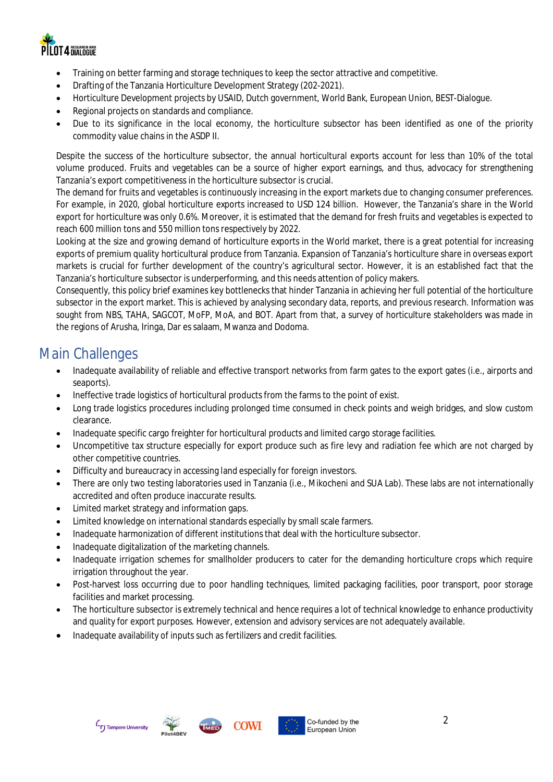

- Training on better farming and storage techniques to keep the sector attractive and competitive.
- Drafting of the Tanzania Horticulture Development Strategy (202-2021).
- Horticulture Development projects by USAID, Dutch government, World Bank, European Union, BEST-Dialogue.
- Regional projects on standards and compliance.
- Due to its significance in the local economy, the horticulture subsector has been identified as one of the priority commodity value chains in the ASDP II.

Despite the success of the horticulture subsector, the annual horticultural exports account for less than 10% of the total volume produced. Fruits and vegetables can be a source of higher export earnings, and thus, advocacy for strengthening Tanzania's export competitiveness in the horticulture subsector is crucial.

The demand for fruits and vegetables is continuously increasing in the export markets due to changing consumer preferences. For example, in 2020, global horticulture exports increased to USD 124 billion. However, the Tanzania's share in the World export for horticulture was only 0.6%. Moreover, it is estimated that the demand for fresh fruits and vegetables is expected to reach 600 million tons and 550 million tons respectively by 2022.

Looking at the size and growing demand of horticulture exports in the World market, there is a great potential for increasing exports of premium quality horticultural produce from Tanzania. Expansion of Tanzania's horticulture share in overseas export markets is crucial for further development of the country's agricultural sector. However, it is an established fact that the Tanzania's horticulture subsector is underperforming, and this needs attention of policy makers.

Consequently, this policy brief examines key bottlenecks that hinder Tanzania in achieving her full potential of the horticulture subsector in the export market. This is achieved by analysing secondary data, reports, and previous research. Information was sought from NBS, TAHA, SAGCOT, MoFP, MoA, and BOT. Apart from that, a survey of horticulture stakeholders was made in the regions of Arusha, Iringa, Dar es salaam, Mwanza and Dodoma.

#### Main Challenges

- Inadequate availability of reliable and effective transport networks from farm gates to the export gates (i.e., airports and seaports).
- Ineffective trade logistics of horticultural products from the farms to the point of exist.
- Long trade logistics procedures including prolonged time consumed in check points and weigh bridges, and slow custom clearance.
- Inadequate specific cargo freighter for horticultural products and limited cargo storage facilities.
- Uncompetitive tax structure especially for export produce such as fire levy and radiation fee which are not charged by other competitive countries.
- Difficulty and bureaucracy in accessing land especially for foreign investors.
- There are only two testing laboratories used in Tanzania (i.e., Mikocheni and SUA Lab). These labs are not internationally accredited and often produce inaccurate results.
- Limited market strategy and information gaps.
- Limited knowledge on international standards especially by small scale farmers.
- Inadequate harmonization of different institutions that deal with the horticulture subsector.
- Inadequate digitalization of the marketing channels.
- Inadequate irrigation schemes for smallholder producers to cater for the demanding horticulture crops which require irrigation throughout the year.
- Post-harvest loss occurring due to poor handling techniques, limited packaging facilities, poor transport, poor storage facilities and market processing.
- The horticulture subsector is extremely technical and hence requires a lot of technical knowledge to enhance productivity and quality for export purposes. However, extension and advisory services are not adequately available.
- Inadequate availability of inputs such as fertilizers and credit facilities.







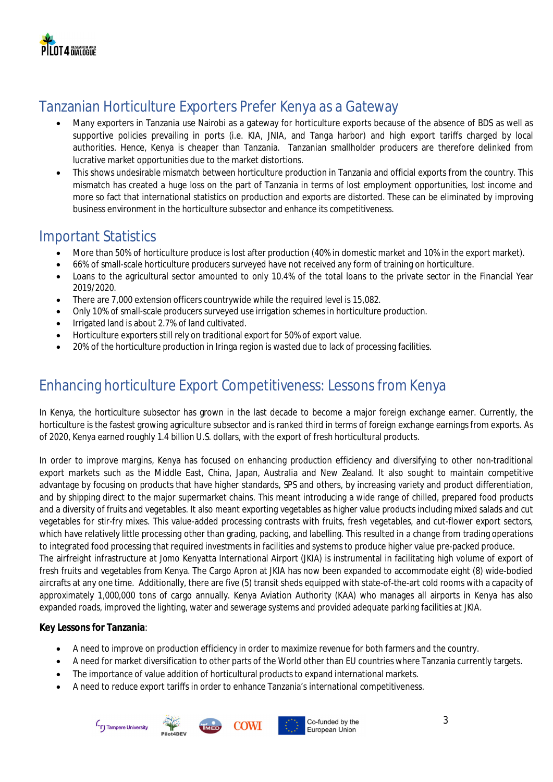

## Tanzanian Horticulture Exporters Prefer Kenya as a Gateway

- Many exporters in Tanzania use Nairobi as a gateway for horticulture exports because of the absence of BDS as well as supportive policies prevailing in ports (i.e. KIA, JNIA, and Tanga harbor) and high export tariffs charged by local authorities. Hence, Kenya is cheaper than Tanzania. Tanzanian smallholder producers are therefore delinked from lucrative market opportunities due to the market distortions.
- This shows undesirable mismatch between horticulture production in Tanzania and official exports from the country. This mismatch has created a huge loss on the part of Tanzania in terms of lost employment opportunities, lost income and more so fact that international statistics on production and exports are distorted. These can be eliminated by improving business environment in the horticulture subsector and enhance its competitiveness.

#### Important Statistics

- More than 50% of horticulture produce is lost after production (40% in domestic market and 10% in the export market).
- 66% of small-scale horticulture producers surveyed have not received any form of training on horticulture.
- Loans to the agricultural sector amounted to only 10.4% of the total loans to the private sector in the Financial Year 2019/2020.
- There are 7,000 extension officers countrywide while the required level is 15,082.
- Only 10% of small-scale producers surveyed use irrigation schemes in horticulture production.
- Irrigated land is about 2.7% of land cultivated.
- Horticulture exporters still rely on traditional export for 50% of export value.
- 20% of the horticulture production in Iringa region is wasted due to lack of processing facilities.

#### Enhancing horticulture Export Competitiveness: Lessons from Kenya

In Kenya, the horticulture subsector has grown in the last decade to become a major foreign exchange earner. Currently, the horticulture is the fastest growing agriculture subsector and is ranked third in terms of foreign exchange earnings from exports. As of 2020, Kenya earned roughly 1.4 billion U.S. dollars, with the export of fresh horticultural products.

In order to improve margins, Kenya has focused on enhancing production efficiency and diversifying to other non-traditional export markets such as the Middle East, China, Japan, Australia and New Zealand. It also sought to maintain competitive advantage by focusing on products that have higher standards, SPS and others, by increasing variety and product differentiation, and by shipping direct to the major supermarket chains. This meant introducing a wide range of chilled, prepared food products and a diversity of fruits and vegetables. It also meant exporting vegetables as higher value products including mixed salads and cut vegetables for stir-fry mixes. This value-added processing contrasts with fruits, fresh vegetables, and cut-flower export sectors, which have relatively little processing other than grading, packing, and labelling. This resulted in a change from trading operations to integrated food processing that required investments in facilities and systems to produce higher value pre-packed produce. The airfreight infrastructure at Jomo Kenyatta International Airport (JKIA) is instrumental in facilitating high volume of export of fresh fruits and vegetables from Kenya. The Cargo Apron at JKIA has now been expanded to accommodate eight (8) wide-bodied

aircrafts at any one time. Additionally, there are five (5) transit sheds equipped with state-of-the-art cold rooms with a capacity of approximately 1,000,000 tons of cargo annually. Kenya Aviation Authority (KAA) who manages all airports in Kenya has also expanded roads, improved the lighting, water and sewerage systems and provided adequate parking facilities at JKIA.

**Key Lessons for Tanzania**:

- A need to improve on production efficiency in order to maximize revenue for both farmers and the country.
- A need for market diversification to other parts of the World other than EU countries where Tanzania currently targets.
- The importance of value addition of horticultural products to expand international markets.
- A need to reduce export tariffs in order to enhance Tanzania's international competitiveness.